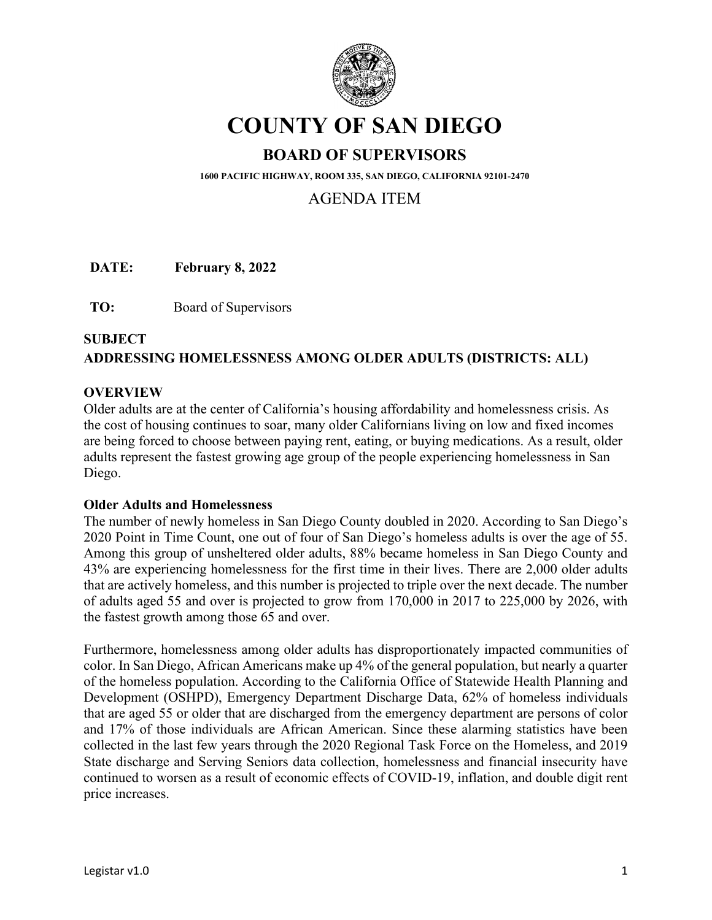

# **COUNTY OF SAN DIEGO**

# **BOARD OF SUPERVISORS**

**1600 PACIFIC HIGHWAY, ROOM 335, SAN DIEGO, CALIFORNIA 92101-2470**

## AGENDA ITEM

**DATE: February 8, 2022** 

**TO:** Board of Supervisors

## **SUBJECT ADDRESSING HOMELESSNESS AMONG OLDER ADULTS (DISTRICTS: ALL)**

#### **OVERVIEW**

Older adults are at the center of California's housing affordability and homelessness crisis. As the cost of housing continues to soar, many older Californians living on low and fixed incomes are being forced to choose between paying rent, eating, or buying medications. As a result, older adults represent the fastest growing age group of the people experiencing homelessness in San Diego.

#### **Older Adults and Homelessness**

The number of newly homeless in San Diego County doubled in 2020. According to San Diego's 2020 Point in Time Count, one out of four of San Diego's homeless adults is over the age of 55. Among this group of unsheltered older adults, 88% became homeless in San Diego County and 43% are experiencing homelessness for the first time in their lives. There are 2,000 older adults that are actively homeless, and this number is projected to triple over the next decade. The number of adults aged 55 and over is projected to grow from 170,000 in 2017 to 225,000 by 2026, with the fastest growth among those 65 and over.

Furthermore, homelessness among older adults has disproportionately impacted communities of color. In San Diego, African Americans make up 4% of the general population, but nearly a quarter of the homeless population. According to the California Office of Statewide Health Planning and Development (OSHPD), Emergency Department Discharge Data, 62% of homeless individuals that are aged 55 or older that are discharged from the emergency department are persons of color and 17% of those individuals are African American. Since these alarming statistics have been collected in the last few years through the 2020 Regional Task Force on the Homeless, and 2019 State discharge and Serving Seniors data collection, homelessness and financial insecurity have continued to worsen as a result of economic effects of COVID-19, inflation, and double digit rent price increases.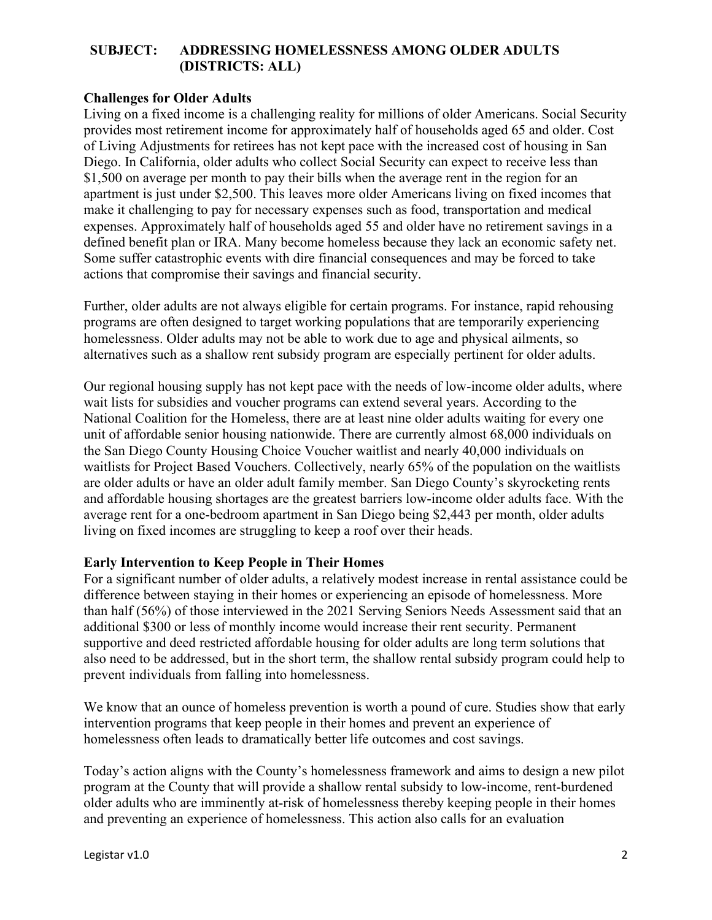#### **Challenges for Older Adults**

Living on a fixed income is a challenging reality for millions of older Americans. Social Security provides most retirement income for approximately half of households aged 65 and older. Cost of Living Adjustments for retirees has not kept pace with the increased cost of housing in San Diego. In California, older adults who collect Social Security can expect to receive less than \$1,500 on average per month to pay their bills when the average rent in the region for an apartment is just under \$2,500. This leaves more older Americans living on fixed incomes that make it challenging to pay for necessary expenses such as food, transportation and medical expenses. Approximately half of households aged 55 and older have no retirement savings in a defined benefit plan or IRA. Many become homeless because they lack an economic safety net. Some suffer catastrophic events with dire financial consequences and may be forced to take actions that compromise their savings and financial security.

Further, older adults are not always eligible for certain programs. For instance, rapid rehousing programs are often designed to target working populations that are temporarily experiencing homelessness. Older adults may not be able to work due to age and physical ailments, so alternatives such as a shallow rent subsidy program are especially pertinent for older adults.

Our regional housing supply has not kept pace with the needs of low-income older adults, where wait lists for subsidies and voucher programs can extend several years. According to the National Coalition for the Homeless, there are at least nine older adults waiting for every one unit of affordable senior housing nationwide. There are currently almost 68,000 individuals on the San Diego County Housing Choice Voucher waitlist and nearly 40,000 individuals on waitlists for Project Based Vouchers. Collectively, nearly 65% of the population on the waitlists are older adults or have an older adult family member. San Diego County's skyrocketing rents and affordable housing shortages are the greatest barriers low-income older adults face. With the average rent for a one-bedroom apartment in San Diego being \$2,443 per month, older adults living on fixed incomes are struggling to keep a roof over their heads.

#### **Early Intervention to Keep People in Their Homes**

For a significant number of older adults, a relatively modest increase in rental assistance could be difference between staying in their homes or experiencing an episode of homelessness. More than half (56%) of those interviewed in the 2021 Serving Seniors Needs Assessment said that an additional \$300 or less of monthly income would increase their rent security. Permanent supportive and deed restricted affordable housing for older adults are long term solutions that also need to be addressed, but in the short term, the shallow rental subsidy program could help to prevent individuals from falling into homelessness.

We know that an ounce of homeless prevention is worth a pound of cure. Studies show that early intervention programs that keep people in their homes and prevent an experience of homelessness often leads to dramatically better life outcomes and cost savings.

Today's action aligns with the County's homelessness framework and aims to design a new pilot program at the County that will provide a shallow rental subsidy to low-income, rent-burdened older adults who are imminently at-risk of homelessness thereby keeping people in their homes and preventing an experience of homelessness. This action also calls for an evaluation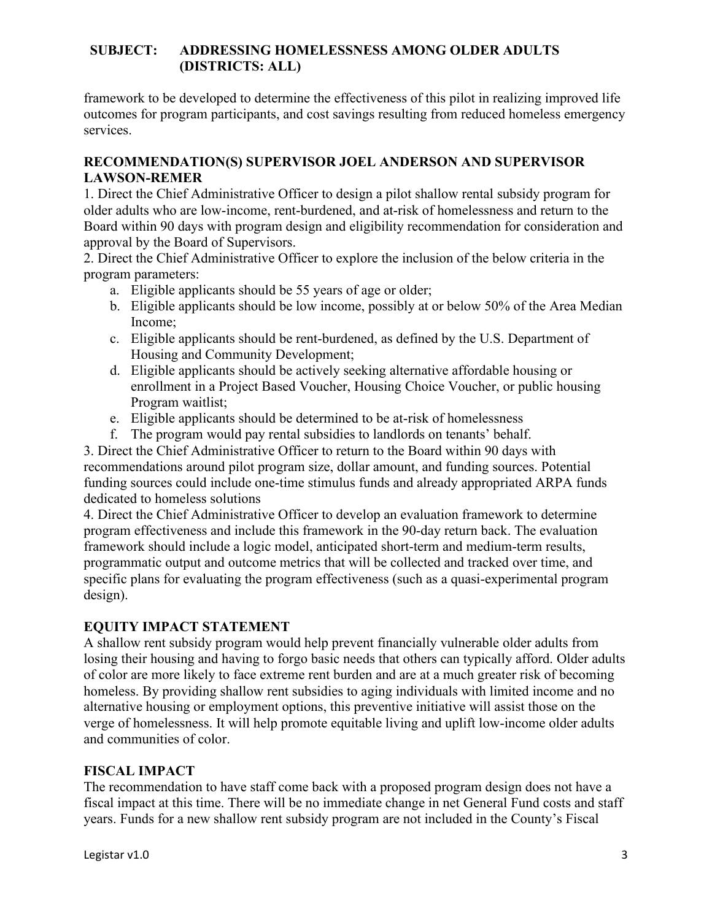framework to be developed to determine the effectiveness of this pilot in realizing improved life outcomes for program participants, and cost savings resulting from reduced homeless emergency services.

#### **RECOMMENDATION(S) SUPERVISOR JOEL ANDERSON AND SUPERVISOR LAWSON-REMER**

1. Direct the Chief Administrative Officer to design a pilot shallow rental subsidy program for older adults who are low-income, rent-burdened, and at-risk of homelessness and return to the Board within 90 days with program design and eligibility recommendation for consideration and approval by the Board of Supervisors.

2. Direct the Chief Administrative Officer to explore the inclusion of the below criteria in the program parameters:

- a. Eligible applicants should be 55 years of age or older;
- b. Eligible applicants should be low income, possibly at or below 50% of the Area Median Income;
- c. Eligible applicants should be rent-burdened, as defined by the U.S. Department of Housing and Community Development;
- d. Eligible applicants should be actively seeking alternative affordable housing or enrollment in a Project Based Voucher, Housing Choice Voucher, or public housing Program waitlist;
- e. Eligible applicants should be determined to be at-risk of homelessness
- f. The program would pay rental subsidies to landlords on tenants' behalf.

3. Direct the Chief Administrative Officer to return to the Board within 90 days with recommendations around pilot program size, dollar amount, and funding sources. Potential funding sources could include one-time stimulus funds and already appropriated ARPA funds dedicated to homeless solutions

4. Direct the Chief Administrative Officer to develop an evaluation framework to determine program effectiveness and include this framework in the 90-day return back. The evaluation framework should include a logic model, anticipated short-term and medium-term results, programmatic output and outcome metrics that will be collected and tracked over time, and specific plans for evaluating the program effectiveness (such as a quasi-experimental program design).

## **EQUITY IMPACT STATEMENT**

A shallow rent subsidy program would help prevent financially vulnerable older adults from losing their housing and having to forgo basic needs that others can typically afford. Older adults of color are more likely to face extreme rent burden and are at a much greater risk of becoming homeless. By providing shallow rent subsidies to aging individuals with limited income and no alternative housing or employment options, this preventive initiative will assist those on the verge of homelessness. It will help promote equitable living and uplift low-income older adults and communities of color.

## **FISCAL IMPACT**

The recommendation to have staff come back with a proposed program design does not have a fiscal impact at this time. There will be no immediate change in net General Fund costs and staff years. Funds for a new shallow rent subsidy program are not included in the County's Fiscal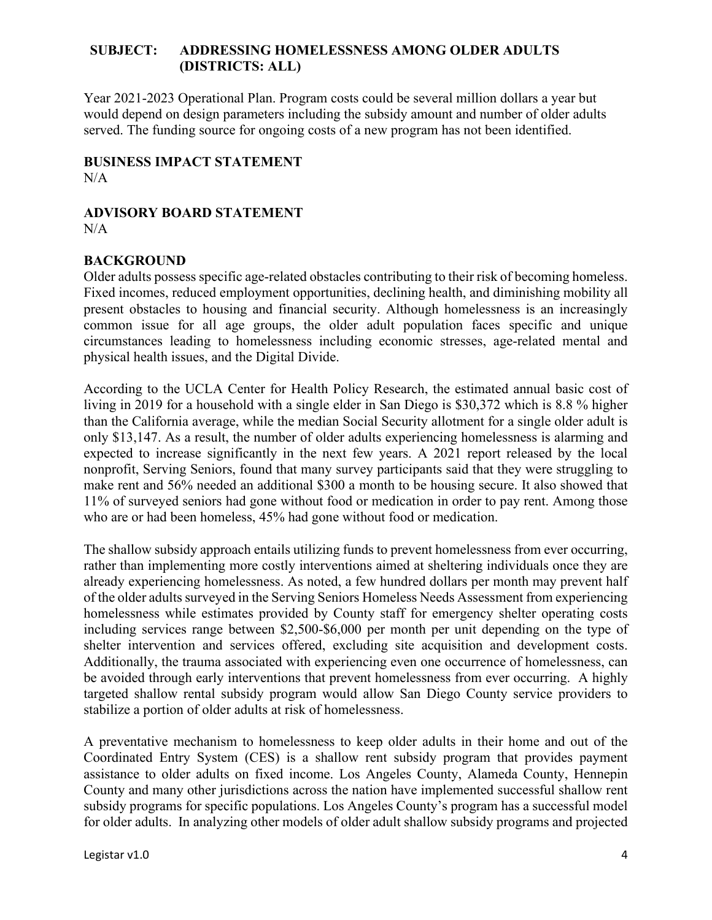Year 2021-2023 Operational Plan. Program costs could be several million dollars a year but would depend on design parameters including the subsidy amount and number of older adults served. The funding source for ongoing costs of a new program has not been identified.

**BUSINESS IMPACT STATEMENT** N/A

**ADVISORY BOARD STATEMENT** N/A

#### **BACKGROUND**

Older adults possess specific age-related obstacles contributing to their risk of becoming homeless. Fixed incomes, reduced employment opportunities, declining health, and diminishing mobility all present obstacles to housing and financial security. Although homelessness is an increasingly common issue for all age groups, the older adult population faces specific and unique circumstances leading to homelessness including economic stresses, age-related mental and physical health issues, and the Digital Divide.

According to the UCLA Center for Health Policy Research, the estimated annual basic cost of living in 2019 for a household with a single elder in San Diego is \$30,372 which is 8.8 % higher than the California average, while the median Social Security allotment for a single older adult is only \$13,147. As a result, the number of older adults experiencing homelessness is alarming and expected to increase significantly in the next few years. A 2021 report released by the local nonprofit, Serving Seniors, found that many survey participants said that they were struggling to make rent and 56% needed an additional \$300 a month to be housing secure. It also showed that 11% of surveyed seniors had gone without food or medication in order to pay rent. Among those who are or had been homeless, 45% had gone without food or medication.

The shallow subsidy approach entails utilizing funds to prevent homelessness from ever occurring, rather than implementing more costly interventions aimed at sheltering individuals once they are already experiencing homelessness. As noted, a few hundred dollars per month may prevent half of the older adults surveyed in the Serving Seniors Homeless Needs Assessment from experiencing homelessness while estimates provided by County staff for emergency shelter operating costs including services range between \$2,500-\$6,000 per month per unit depending on the type of shelter intervention and services offered, excluding site acquisition and development costs. Additionally, the trauma associated with experiencing even one occurrence of homelessness, can be avoided through early interventions that prevent homelessness from ever occurring. A highly targeted shallow rental subsidy program would allow San Diego County service providers to stabilize a portion of older adults at risk of homelessness.

A preventative mechanism to homelessness to keep older adults in their home and out of the Coordinated Entry System (CES) is a shallow rent subsidy program that provides payment assistance to older adults on fixed income. Los Angeles County, Alameda County, Hennepin County and many other jurisdictions across the nation have implemented successful shallow rent subsidy programs for specific populations. Los Angeles County's program has a successful model for older adults. In analyzing other models of older adult shallow subsidy programs and projected